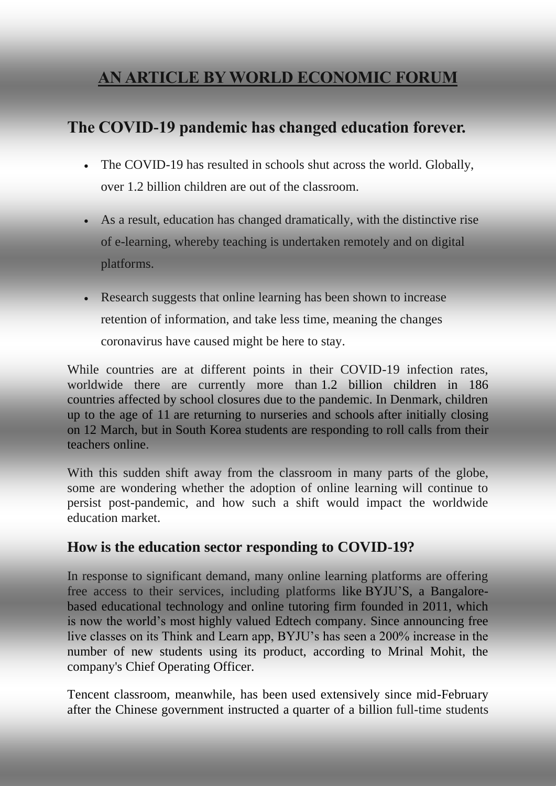# **AN ARTICLE BY WORLD ECONOMIC FORUM**

## **The COVID-19 pandemic has changed education forever.**

- The COVID-19 has resulted in schools shut across the world. Globally, over 1.2 billion children are out of the classroom.
- As a result, education has changed dramatically, with the distinctive rise of e-learning, whereby teaching is undertaken remotely and on digital platforms.
- Research suggests that online learning has been shown to increase retention of information, and take less time, meaning the changes coronavirus have caused might be here to stay.

While countries are at different points in their COVID-19 infection rates, worldwide there are currently more than [1.2 billion children in 186](https://en.unesco.org/covid19/educationresponse)  [countries](https://en.unesco.org/covid19/educationresponse) affected by school closures due to the pandemic. In Denmark, children up to the age of 11 [are returning to nurseries and schools](https://www.bbc.com/news/world-europe-52291326) after initially closing on [12 March,](https://www.bbc.com/news/world-europe-52291326) but in South Korea students are responding to [roll calls from their](https://www.bbc.com/news/world-asia-52230371)  [teachers online.](https://www.bbc.com/news/world-asia-52230371)

With this sudden shift away from the classroom in many parts of the globe, some are wondering whether the adoption of online learning will continue to persist post-pandemic, and how such a shift would impact the worldwide education market.

#### **How is the education sector responding to COVID-19?**

In response to significant demand, many online learning platforms are offering free access to their services, including platforms like [BYJU'S,](https://timesofindia.indiatimes.com/gadgets-news/byjus-adds-free-live-classes-for-students-amidst-covid-19-lockdown/articleshow/74971274.cms) a Bangalorebased educational technology and online tutoring firm founded in 2011, which is now the world's most [highly valued Edtech company.](https://www.rediff.com/business/interview/how-byju-built-the-worlds-highest-valued-edtech-company/20190116.htm) Since announcing free live classes on its Think and Learn app, BYJU's has seen a 200% increase in the number of new students using its product, according to Mrinal Mohit, the company's Chief Operating Officer.

Tencent classroom, meanwhile, has been used extensively since mid-February after the Chinese government instructed a [quarter of a billion](https://cloud.tencent.com/developer/article/1589218) full-time students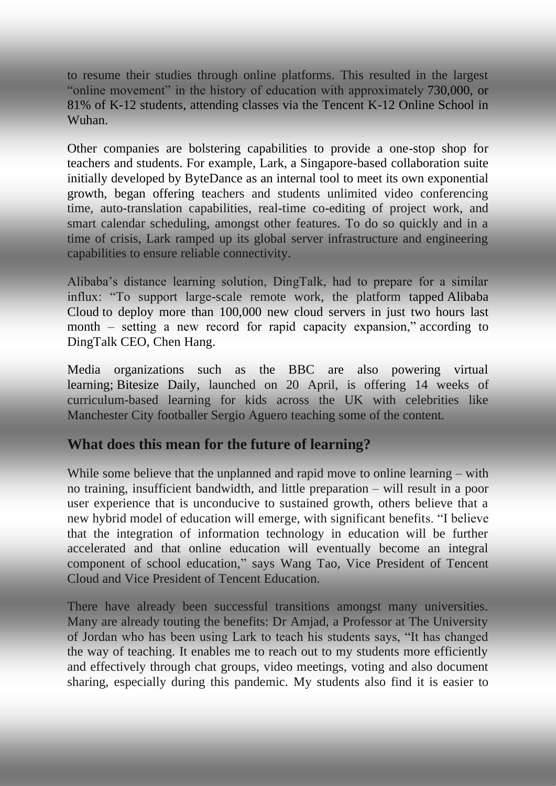to resume their studies through online platforms. This resulted in the largest "online movement" in the history of education with approximately [730,000,](https://cloud.tencent.com/developer/article/1589218) or 81% of K-12 students, attending classes via the Tencent K-12 Online School in Wuhan.

Other companies are bolstering capabilities to provide a one-stop shop for teachers and students. For example, [Lark,](https://www.larksuite.com/) a Singapore-based collaboration suite initially developed by [ByteDance](https://www.bytedance.com/en) as an internal tool to meet its own exponential growth, began offering teachers and students unlimited video conferencing time, auto-translation capabilities, real-time co-editing of project work, and smart calendar scheduling, amongst other features. To do so quickly and in a time of crisis, Lark ramped up its global server infrastructure and engineering capabilities to ensure reliable connectivity.

Alibaba's distance learning solution, DingTalk, had to prepare for a similar influx: "To support large-scale remote work, the platform tapped [Alibaba](https://www.alizila.com/new-alibaba-cloud-partners-products-aspara/)  [Cloud](https://www.alizila.com/new-alibaba-cloud-partners-products-aspara/) to deploy more than 100,000 new cloud servers in just two hours last month – setting a new record for rapid capacity expansion," [according to](https://www.alizila.com/dingtalk-included-in-unesco-list-of-distance-learning-platforms/)  [DingTalk CEO, Chen Hang.](https://www.alizila.com/dingtalk-included-in-unesco-list-of-distance-learning-platforms/)

Media organizations such as the BBC are also powering virtual learning; [Bitesize Daily,](https://www.bbc.co.uk/mediacentre/latestnews/2020/education-teachers) launched on 20 April, is offering 14 weeks of curriculum-based learning for kids across the UK with celebrities like Manchester City footballer Sergio Aguero teaching some of the content.

#### **What does this mean for the future of learning?**

While some believe that the unplanned and rapid move to online learning – with no training, insufficient bandwidth, and little preparation – will result in a poor user experience that is unconducive to sustained growth, others believe that a new hybrid model of education will emerge, with significant benefits. "I believe that the integration of information technology in education will be further accelerated and that online education will eventually become an integral component of school education," says Wang Tao, Vice President of Tencent Cloud and Vice President of Tencent Education.

There have already been successful transitions amongst many universities. Many are already touting the benefits: Dr Amjad, a Professor at The University of Jordan who has been using Lark to teach his students says, "It has changed the way of teaching. It enables me to reach out to my students more efficiently and effectively through chat groups, video meetings, voting and also document sharing, especially during this pandemic. My students also find it is easier to